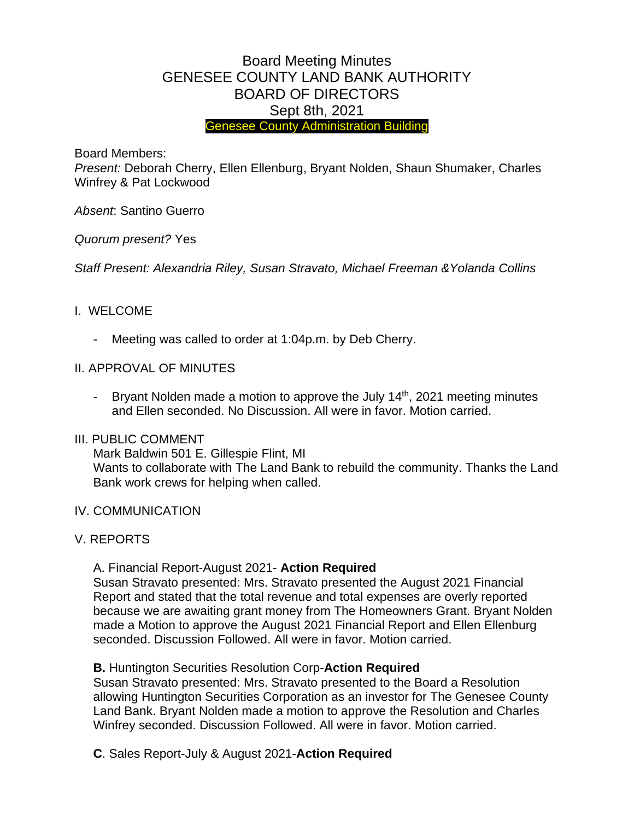# Board Meeting Minutes GENESEE COUNTY LAND BANK AUTHORITY BOARD OF DIRECTORS Sept 8th, 2021 Genesee County Administration Building

Board Members:

*Present:* Deborah Cherry, Ellen Ellenburg, Bryant Nolden, Shaun Shumaker, Charles Winfrey & Pat Lockwood

*Absent*: Santino Guerro

*Quorum present?* Yes

*Staff Present: Alexandria Riley, Susan Stravato, Michael Freeman &Yolanda Collins*

#### I. WELCOME

- Meeting was called to order at 1:04p.m. by Deb Cherry.
- II. APPROVAL OF MINUTES
	- Bryant Nolden made a motion to approve the July 14<sup>th</sup>, 2021 meeting minutes and Ellen seconded. No Discussion. All were in favor. Motion carried.

#### III. PUBLIC COMMENT

Mark Baldwin 501 E. Gillespie Flint, MI Wants to collaborate with The Land Bank to rebuild the community. Thanks the Land Bank work crews for helping when called.

- IV. COMMUNICATION
- V. REPORTS

A. Financial Report-August 2021- **Action Required**

Susan Stravato presented: Mrs. Stravato presented the August 2021 Financial Report and stated that the total revenue and total expenses are overly reported because we are awaiting grant money from The Homeowners Grant. Bryant Nolden made a Motion to approve the August 2021 Financial Report and Ellen Ellenburg seconded. Discussion Followed. All were in favor. Motion carried.

## **B.** Huntington Securities Resolution Corp-**Action Required**

Susan Stravato presented: Mrs. Stravato presented to the Board a Resolution allowing Huntington Securities Corporation as an investor for The Genesee County Land Bank. Bryant Nolden made a motion to approve the Resolution and Charles Winfrey seconded. Discussion Followed. All were in favor. Motion carried.

**C**. Sales Report-July & August 2021-**Action Required**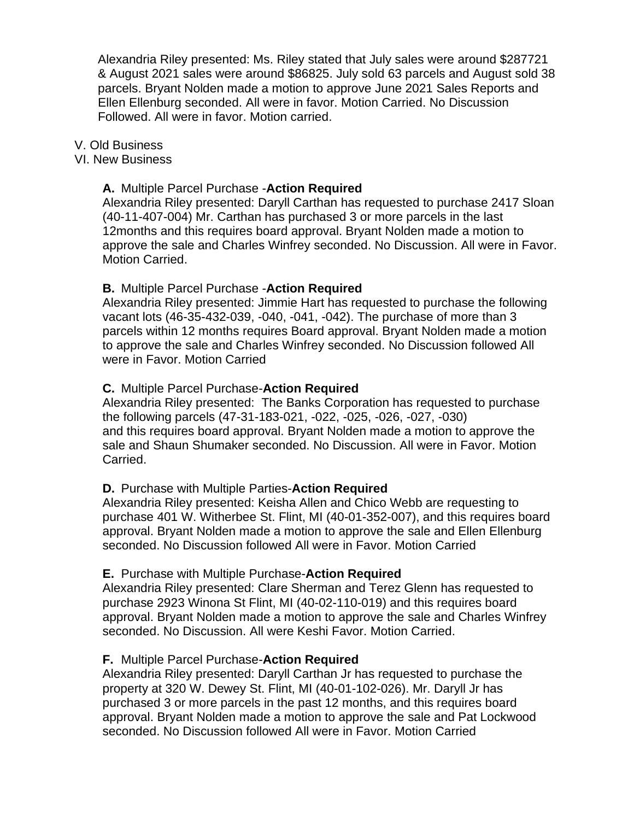Alexandria Riley presented: Ms. Riley stated that July sales were around \$287721 & August 2021 sales were around \$86825. July sold 63 parcels and August sold 38 parcels. Bryant Nolden made a motion to approve June 2021 Sales Reports and Ellen Ellenburg seconded. All were in favor. Motion Carried. No Discussion Followed. All were in favor. Motion carried.

V. Old Business

#### VI. New Business

#### **A.** Multiple Parcel Purchase -**Action Required**

Alexandria Riley presented: Daryll Carthan has requested to purchase 2417 Sloan (40-11-407-004) Mr. Carthan has purchased 3 or more parcels in the last 12months and this requires board approval. Bryant Nolden made a motion to approve the sale and Charles Winfrey seconded. No Discussion. All were in Favor. Motion Carried.

#### **B.** Multiple Parcel Purchase -**Action Required**

Alexandria Riley presented: Jimmie Hart has requested to purchase the following vacant lots (46-35-432-039, -040, -041, -042). The purchase of more than 3 parcels within 12 months requires Board approval. Bryant Nolden made a motion to approve the sale and Charles Winfrey seconded. No Discussion followed All were in Favor. Motion Carried

#### **C.** Multiple Parcel Purchase-**Action Required**

Alexandria Riley presented: The Banks Corporation has requested to purchase the following parcels (47-31-183-021, -022, -025, -026, -027, -030) and this requires board approval. Bryant Nolden made a motion to approve the sale and Shaun Shumaker seconded. No Discussion. All were in Favor. Motion Carried.

#### **D.** Purchase with Multiple Parties-**Action Required**

Alexandria Riley presented: Keisha Allen and Chico Webb are requesting to purchase 401 W. Witherbee St. Flint, MI (40-01-352-007), and this requires board approval. Bryant Nolden made a motion to approve the sale and Ellen Ellenburg seconded. No Discussion followed All were in Favor. Motion Carried

#### **E.** Purchase with Multiple Purchase-**Action Required**

Alexandria Riley presented: Clare Sherman and Terez Glenn has requested to purchase 2923 Winona St Flint, MI (40-02-110-019) and this requires board approval. Bryant Nolden made a motion to approve the sale and Charles Winfrey seconded. No Discussion. All were Keshi Favor. Motion Carried.

## **F.** Multiple Parcel Purchase-**Action Required**

Alexandria Riley presented: Daryll Carthan Jr has requested to purchase the property at 320 W. Dewey St. Flint, MI (40-01-102-026). Mr. Daryll Jr has purchased 3 or more parcels in the past 12 months, and this requires board approval. Bryant Nolden made a motion to approve the sale and Pat Lockwood seconded. No Discussion followed All were in Favor. Motion Carried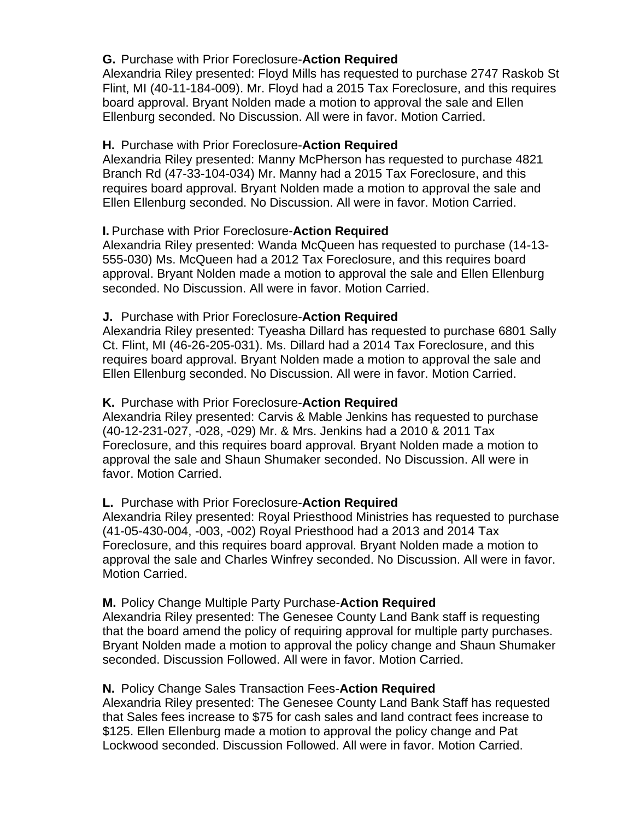# **G.** Purchase with Prior Foreclosure-**Action Required**

Alexandria Riley presented: Floyd Mills has requested to purchase 2747 Raskob St Flint, MI (40-11-184-009). Mr. Floyd had a 2015 Tax Foreclosure, and this requires board approval. Bryant Nolden made a motion to approval the sale and Ellen Ellenburg seconded. No Discussion. All were in favor. Motion Carried.

# **H.** Purchase with Prior Foreclosure-**Action Required**

Alexandria Riley presented: Manny McPherson has requested to purchase 4821 Branch Rd (47-33-104-034) Mr. Manny had a 2015 Tax Foreclosure, and this requires board approval. Bryant Nolden made a motion to approval the sale and Ellen Ellenburg seconded. No Discussion. All were in favor. Motion Carried.

## **I.** Purchase with Prior Foreclosure-**Action Required**

Alexandria Riley presented: Wanda McQueen has requested to purchase (14-13- 555-030) Ms. McQueen had a 2012 Tax Foreclosure, and this requires board approval. Bryant Nolden made a motion to approval the sale and Ellen Ellenburg seconded. No Discussion. All were in favor. Motion Carried.

## **J.** Purchase with Prior Foreclosure-**Action Required**

Alexandria Riley presented: Tyeasha Dillard has requested to purchase 6801 Sally Ct. Flint, MI (46-26-205-031). Ms. Dillard had a 2014 Tax Foreclosure, and this requires board approval. Bryant Nolden made a motion to approval the sale and Ellen Ellenburg seconded. No Discussion. All were in favor. Motion Carried.

## **K.** Purchase with Prior Foreclosure-**Action Required**

Alexandria Riley presented: Carvis & Mable Jenkins has requested to purchase (40-12-231-027, -028, -029) Mr. & Mrs. Jenkins had a 2010 & 2011 Tax Foreclosure, and this requires board approval. Bryant Nolden made a motion to approval the sale and Shaun Shumaker seconded. No Discussion. All were in favor. Motion Carried.

## **L.** Purchase with Prior Foreclosure-**Action Required**

Alexandria Riley presented: Royal Priesthood Ministries has requested to purchase (41-05-430-004, -003, -002) Royal Priesthood had a 2013 and 2014 Tax Foreclosure, and this requires board approval. Bryant Nolden made a motion to approval the sale and Charles Winfrey seconded. No Discussion. All were in favor. Motion Carried.

## **M.** Policy Change Multiple Party Purchase-**Action Required**

Alexandria Riley presented: The Genesee County Land Bank staff is requesting that the board amend the policy of requiring approval for multiple party purchases. Bryant Nolden made a motion to approval the policy change and Shaun Shumaker seconded. Discussion Followed. All were in favor. Motion Carried.

## **N.** Policy Change Sales Transaction Fees-**Action Required**

Alexandria Riley presented: The Genesee County Land Bank Staff has requested that Sales fees increase to \$75 for cash sales and land contract fees increase to \$125. Ellen Ellenburg made a motion to approval the policy change and Pat Lockwood seconded. Discussion Followed. All were in favor. Motion Carried.